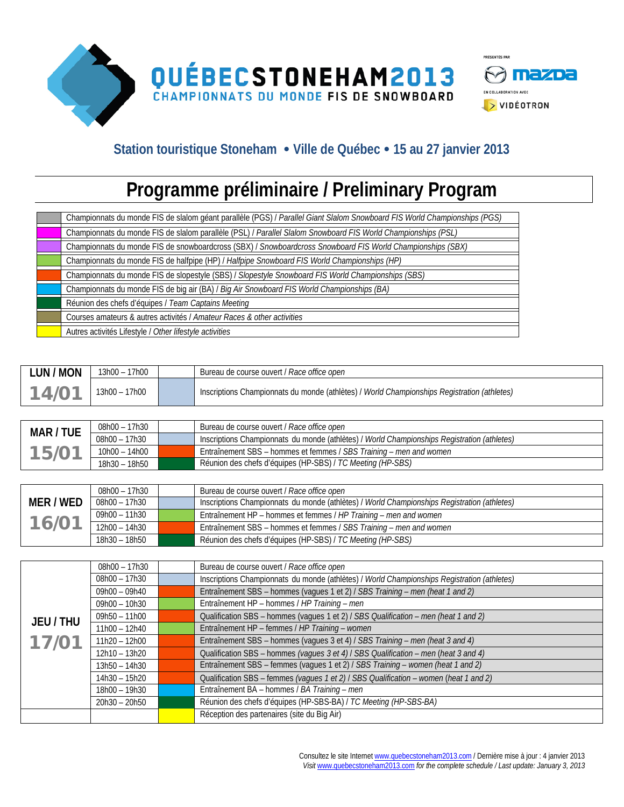

## **Station touristique Stoneham Ville de Québec 15 au 27 janvier 2013**

## **Programme préliminaire / Preliminary Program**

| Championnats du monde FIS de slalom géant parallèle (PGS) / Parallel Giant Slalom Snowboard FIS World Championships (PGS) |
|---------------------------------------------------------------------------------------------------------------------------|
| Championnats du monde FIS de slalom parallèle (PSL) / Parallel Slalom Snowboard FIS World Championships (PSL)             |
| Championnats du monde FIS de snowboardcross (SBX) / Snowboardcross Snowboard FIS World Championships (SBX)                |
| Championnats du monde FIS de halfpipe (HP) / Halfpipe Snowboard FIS World Championships (HP)                              |
| Championnats du monde FIS de slopestyle (SBS) / Slopestyle Snowboard FIS World Championships (SBS)                        |
| Championnats du monde FIS de big air (BA) / Big Air Snowboard FIS World Championships (BA)                                |
| Réunion des chefs d'équipes / Team Captains Meeting                                                                       |
| Courses amateurs & autres activités / Amateur Races & other activities                                                    |
| Autres activités Lifestyle / Other lifestyle activities                                                                   |

| <b>LUN / MON</b> | 13h00 - 17h00   | Bureau de course ouvert / Race office open                                                  |
|------------------|-----------------|---------------------------------------------------------------------------------------------|
| 14/01            | $13h00 - 17h00$ | Inscriptions Championnats du monde (athlètes) / World Championships Registration (athletes) |

| MAR / TUE         | 08h00 - 17h30 | Bureau de course ouvert / Race office open                                                  |
|-------------------|---------------|---------------------------------------------------------------------------------------------|
|                   | 08h00 - 17h30 | Inscriptions Championnats du monde (athlètes) / World Championships Registration (athletes) |
| 15/0 <sup>1</sup> | 10h00 - 14h00 | Entraînement SBS – hommes et femmes / SBS Training – men and women                          |
|                   | 18h30 - 18h50 | Réunion des chefs d'équipes (HP-SBS) / TC Meeting (HP-SBS)                                  |

|           | 08h00 – 17h30 | Bureau de course ouvert / Race office open                                                  |
|-----------|---------------|---------------------------------------------------------------------------------------------|
| MER / WED | 08h00 – 17h30 | Inscriptions Championnats du monde (athlètes) / World Championships Registration (athletes) |
|           | 09h00 – 11h30 | Entraînement HP – hommes et femmes / HP Training – men and women                            |
| 16/01     | 12h00 - 14h30 | Entraînement SBS – hommes et femmes / SBS Training – men and women                          |
|           | 18h30 - 18h50 | Réunion des chefs d'équipes (HP-SBS) / TC Meeting (HP-SBS)                                  |

|         | 08h00 - 17h30   | Bureau de course ouvert / Race office open                                                  |
|---------|-----------------|---------------------------------------------------------------------------------------------|
|         | 08h00 - 17h30   | Inscriptions Championnats du monde (athlètes) / World Championships Registration (athletes) |
|         | $09h00 - 09h40$ | Entraînement SBS - hommes (vagues 1 et 2) / SBS Training - men (heat 1 and 2)               |
|         | $09h00 - 10h30$ | Entraînement HP - hommes / HP Training - men                                                |
| JEU/THU | $09h50 - 11h00$ | Qualification SBS - hommes (vagues 1 et 2) / SBS Qualification - men (heat 1 and 2)         |
|         | $11h00 - 12h40$ | Entraînement HP - femmes / HP Training - women                                              |
| 17/01   | $11h20 - 12h00$ | Entraînement SBS - hommes (vagues 3 et 4) / SBS Training - men (heat 3 and 4)               |
|         | 12h10 - 13h20   | Qualification SBS - hommes (vagues 3 et 4) / SBS Qualification - men (heat 3 and 4)         |
|         | $13h50 - 14h30$ | Entraînement SBS - femmes (vagues 1 et 2) / SBS Training - women (heat 1 and 2)             |
|         | 14h30 - 15h20   | Qualification SBS - femmes (vagues 1 et 2) / SBS Qualification - women (heat 1 and 2)       |
|         | 18h00 - 19h30   | Entraînement BA - hommes / BA Training - men                                                |
|         | $20h30 - 20h50$ | Réunion des chefs d'équipes (HP-SBS-BA) / TC Meeting (HP-SBS-BA)                            |
|         |                 | Réception des partenaires (site du Big Air)                                                 |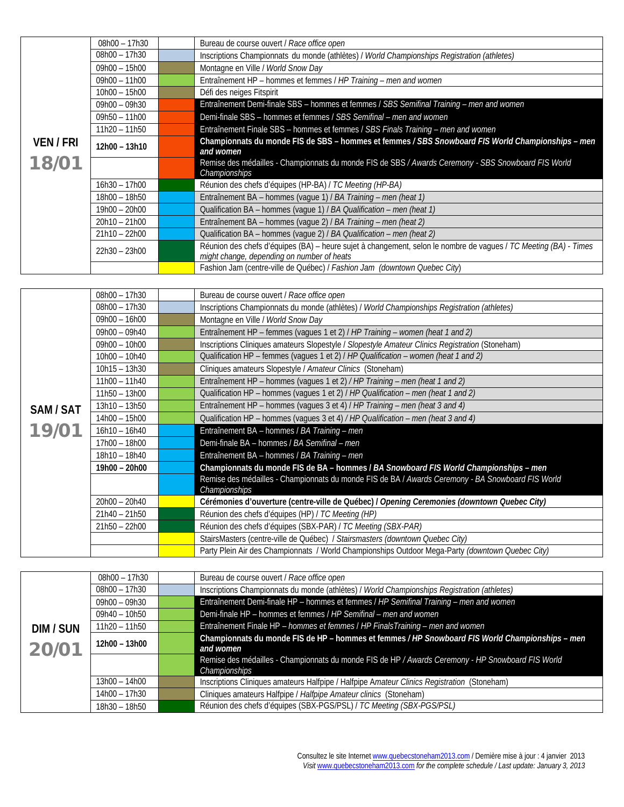|           | $08h00 - 17h30$ | Bureau de course ouvert / Race office open                                                                                                                     |
|-----------|-----------------|----------------------------------------------------------------------------------------------------------------------------------------------------------------|
|           | 08h00 - 17h30   | Inscriptions Championnats du monde (athlètes) / World Championships Registration (athletes)                                                                    |
|           | $09h00 - 15h00$ | Montagne en Ville / World Snow Day                                                                                                                             |
|           | $09h00 - 11h00$ | Entraînement HP - hommes et femmes / HP Training - men and women                                                                                               |
|           | $10h00 - 15h00$ | Défi des neiges Fitspirit                                                                                                                                      |
|           | $09h00 - 09h30$ | Entraînement Demi-finale SBS - hommes et femmes / SBS Semifinal Training - men and women                                                                       |
|           | $09h50 - 11h00$ | Demi-finale SBS - hommes et femmes / SBS Semifinal - men and women                                                                                             |
|           | $11h20 - 11h50$ | Entraînement Finale SBS - hommes et femmes / SBS Finals Training - men and women                                                                               |
| VEN / FRI | 12h00 - 13h10   | Championnats du monde FIS de SBS - hommes et femmes / SBS Snowboard FIS World Championships - men<br>and women                                                 |
| 18/01     |                 | Remise des médailles - Championnats du monde FIS de SBS / Awards Ceremony - SBS Snowboard FIS World<br>Championships                                           |
|           | $16h30 - 17h00$ | Réunion des chefs d'équipes (HP-BA) / TC Meeting (HP-BA)                                                                                                       |
|           | 18h00 - 18h50   | Entraînement BA - hommes (vague 1) / BA Training - men (heat 1)                                                                                                |
|           | 19h00 - 20h00   | Qualification BA - hommes (vaque 1) / BA Qualification - men (heat 1)                                                                                          |
|           | $20h10 - 21h00$ | Entraînement BA - hommes (vague 2) / BA Training - men (heat 2)                                                                                                |
|           | $21h10 - 22h00$ | Qualification BA - hommes (vague 2) / BA Qualification - men (heat 2)                                                                                          |
|           | $22h30 - 23h00$ | Réunion des chefs d'équipes (BA) – heure sujet à changement, selon le nombre de vagues / TC Meeting (BA) - Times<br>might change, depending on number of heats |
|           |                 | Fashion Jam (centre-ville de Québec) / Fashion Jam (downtown Quebec City)                                                                                      |

|           | $08h00 - 17h30$ | Bureau de course ouvert / Race office open                                                        |
|-----------|-----------------|---------------------------------------------------------------------------------------------------|
|           | $08h00 - 17h30$ | Inscriptions Championnats du monde (athlètes) / World Championships Registration (athletes)       |
|           | $09h00 - 16h00$ | Montagne en Ville / World Snow Day                                                                |
|           | 09h00 - 09h40   | Entraînement HP - femmes (vagues 1 et 2) / HP Training - women (heat 1 and 2)                     |
|           | $09h00 - 10h00$ | Inscriptions Cliniques amateurs Slopestyle / Slopestyle Amateur Clinics Registration (Stoneham)   |
|           | $10h00 - 10h40$ | Qualification HP - femmes (vagues 1 et 2) / HP Qualification - women (heat 1 and 2)               |
|           | $10h15 - 13h30$ | Cliniques amateurs Slopestyle / Amateur Clinics (Stoneham)                                        |
|           | $11h00 - 11h40$ | Entraînement HP - hommes (vagues 1 et 2) / HP Training - men (heat 1 and 2)                       |
|           | $11h50 - 13h00$ | Qualification HP - hommes (vagues 1 et 2) / HP Qualification - men (heat 1 and 2)                 |
| SAM / SAT | $13h10 - 13h50$ | Entraînement HP - hommes (vagues 3 et 4) / HP Training - men (heat 3 and 4)                       |
|           | 14h00 - 15h00   | Qualification HP - hommes (vagues 3 et 4) / HP Qualification - men (heat 3 and 4)                 |
| 19/01     | $16h10 - 16h40$ | Entraînement BA - hommes / BA Training - men                                                      |
|           | 17h00 - 18h00   | Demi-finale BA - hommes / BA Semifinal - men                                                      |
|           | 18h10 - 18h40   | Entraînement BA - hommes / BA Training - men                                                      |
|           | 19h00 - 20h00   | Championnats du monde FIS de BA - hommes / BA Snowboard FIS World Championships - men             |
|           |                 | Remise des médailles - Championnats du monde FIS de BA / Awards Ceremony - BA Snowboard FIS World |
|           |                 | Championships                                                                                     |
|           | $20h00 - 20h40$ | Cérémonies d'ouverture (centre-ville de Québec) / Opening Ceremonies (downtown Quebec City)       |
|           | $21h40 - 21h50$ | Réunion des chefs d'équipes (HP) / TC Meeting (HP)                                                |
|           | $21h50 - 22h00$ | Réunion des chefs d'équipes (SBX-PAR) / TC Meeting (SBX-PAR)                                      |
|           |                 | StairsMasters (centre-ville de Québec) / Stairsmasters (downtown Quebec City)                     |
|           |                 | Party Plein Air des Championnats / World Championships Outdoor Mega-Party (downtown Quebec City)  |

|           | 08h00 - 17h30   | Bureau de course ouvert / Race office open                                                        |
|-----------|-----------------|---------------------------------------------------------------------------------------------------|
|           | 08h00 - 17h30   | Inscriptions Championnats du monde (athlètes) / World Championships Registration (athletes)       |
|           | 09h00 - 09h30   | Entraînement Demi-finale HP - hommes et femmes / HP Semifinal Training - men and women            |
|           | 09h40 - 10h50   | Demi-finale HP - hommes et femmes / HP Semifinal - men and women                                  |
| DIM / SUN | $11h20 - 11h50$ | Entraînement Finale HP - hommes et femmes / HP Finals Training - men and women                    |
|           | 12h00 - 13h00   | Championnats du monde FIS de HP - hommes et femmes / HP Snowboard FIS World Championships - men   |
| 20/01     |                 | and women                                                                                         |
|           |                 | Remise des médailles - Championnats du monde FIS de HP / Awards Ceremony - HP Snowboard FIS World |
|           |                 | Championships                                                                                     |
|           | $13h00 - 14h00$ | Inscriptions Cliniques amateurs Halfpipe / Halfpipe Amateur Clinics Registration (Stoneham)       |
|           | $14h00 - 17h30$ | Cliniques amateurs Halfpipe / Halfpipe Amateur clinics (Stoneham)                                 |
|           | 18h30 - 18h50   | Réunion des chefs d'équipes (SBX-PGS/PSL) / TC Meeting (SBX-PGS/PSL)                              |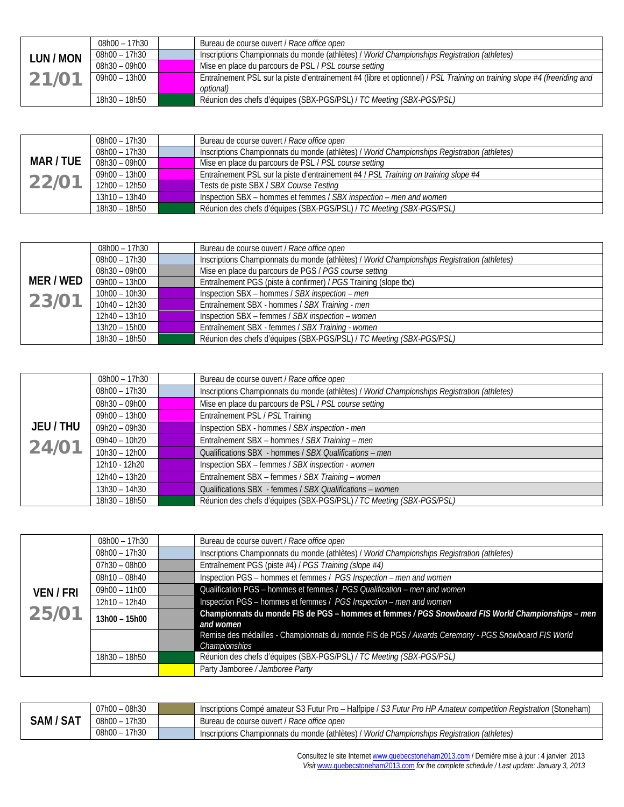|           | 08h00 – 17h30 | Bureau de course ouvert / Race office open                                                                               |
|-----------|---------------|--------------------------------------------------------------------------------------------------------------------------|
| LUN / MON | 08h00 – 17h30 | Inscriptions Championnats du monde (athlètes) / World Championships Registration (athletes)                              |
|           | 08h30 – 09h00 | Mise en place du parcours de PSL / PSL course setting                                                                    |
| 21/01     | 09h00 - 13h00 | Entraînement PSL sur la piste d'entrainement #4 (libre et optionnel) / PSL Training on training slope #4 (freeriding and |
|           |               | optional)                                                                                                                |
|           | 18h30 – 18h50 | Réunion des chefs d'équipes (SBX-PGS/PSL) / TC Meeting (SBX-PGS/PSL)                                                     |

|           | 08h00 – 17h30 | Bureau de course ouvert / Race office open                                                  |
|-----------|---------------|---------------------------------------------------------------------------------------------|
|           | 08h00 – 17h30 | Inscriptions Championnats du monde (athlètes) / World Championships Registration (athletes) |
| MAR / TUE | 08h30 – 09h00 | Mise en place du parcours de PSL / PSL course setting                                       |
|           | 09h00 – 13h00 | Entraînement PSL sur la piste d'entrainement #4 / PSL Training on training slope #4         |
| 22/01     | 12h00 – 12h50 | Tests de piste SBX / SBX Course Testing                                                     |
|           | 13h10 - 13h40 | Inspection SBX – hommes et femmes / SBX inspection – men and women                          |
|           | 18h30 - 18h50 | Réunion des chefs d'équipes (SBX-PGS/PSL) / TC Meeting (SBX-PGS/PSL)                        |

|           | 08h00 – 17h30   | Bureau de course ouvert / Race office open                                                  |
|-----------|-----------------|---------------------------------------------------------------------------------------------|
|           | 08h00 - 17h30   | Inscriptions Championnats du monde (athlètes) / World Championships Registration (athletes) |
|           | $08h30 - 09h00$ | Mise en place du parcours de PGS / PGS course setting                                       |
| MER / WED | $09h00 - 13h00$ | Entraînement PGS (piste à confirmer) / PGS Training (slope tbc)                             |
| 23/01     | 10h00 - 10h30   | Inspection SBX - hommes / SBX inspection - men                                              |
|           | $10h40 - 12h30$ | Entraînement SBX - hommes / SBX Training - men                                              |
|           | 12h40 - 13h10   | Inspection SBX - femmes / SBX inspection - women                                            |
|           | $13h20 - 15h00$ | Entraînement SBX - femmes / SBX Training - women                                            |
|           | 18h30 - 18h50   | Réunion des chefs d'équipes (SBX-PGS/PSL) / TC Meeting (SBX-PGS/PSL)                        |

|         | 08h00 - 17h30   | Bureau de course ouvert / Race office open                                                  |
|---------|-----------------|---------------------------------------------------------------------------------------------|
|         | 08h00 - 17h30   | Inscriptions Championnats du monde (athlètes) / World Championships Registration (athletes) |
|         | $08h30 - 09h00$ | Mise en place du parcours de PSL / PSL course setting                                       |
|         | $09h00 - 13h00$ | Entraînement PSL / PSL Training                                                             |
| JEU/THU | 09h20 - 09h30   | Inspection SBX - hommes / SBX inspection - men                                              |
| 24/01   | 09h40 - 10h20   | Entraînement SBX - hommes / SBX Training - men                                              |
|         | 10h30 - 12h00   | Qualifications SBX - hommes / SBX Qualifications - men                                      |
|         | 12h10 - 12h20   | Inspection SBX - femmes / SBX inspection - women                                            |
|         | $12h40 - 13h20$ | Entraînement SBX - femmes / SBX Training - women                                            |
|         | $13h30 - 14h30$ | Qualifications SBX - femmes / SBX Qualifications - women                                    |
|         | 18h30 - 18h50   | Réunion des chefs d'équipes (SBX-PGS/PSL) / TC Meeting (SBX-PGS/PSL)                        |

| VEN / FRI<br>25/01 | 08h00 - 17h30   | Bureau de course ouvert / Race office open                                                                           |
|--------------------|-----------------|----------------------------------------------------------------------------------------------------------------------|
|                    | $08h00 - 17h30$ | Inscriptions Championnats du monde (athlètes) / World Championships Registration (athletes)                          |
|                    | $07h30 - 08h00$ | Entraînement PGS (piste #4) / PGS Training (slope #4)                                                                |
|                    | $08h10 - 08h40$ | Inspection PGS - hommes et femmes / PGS Inspection - men and women                                                   |
|                    | $09h00 - 11h00$ | Qualification PGS - hommes et femmes / PGS Qualification - men and women                                             |
|                    | 12h10 - 12h40   | Inspection PGS - hommes et femmes / PGS Inspection - men and women                                                   |
|                    | 13h00 - 15h00   | Championnats du monde FIS de PGS - hommes et femmes / PGS Snowboard FIS World Championships - men<br>and women       |
|                    |                 | Remise des médailles - Championnats du monde FIS de PGS / Awards Ceremony - PGS Snowboard FIS World<br>Championships |
|                    | 18h30 - 18h50   | Réunion des chefs d'équipes (SBX-PGS/PSL) / TC Meeting (SBX-PGS/PSL)                                                 |
|                    |                 | Party Jamboree / Jamboree Party                                                                                      |

|                   | 08h30<br>07h00<br>$\overline{\phantom{0}}$ | Inscriptions Compé amateur S3 Futur Pro – Halfpipe / S3 Futur Pro HP Amateur competition Registration (Stoneham) |
|-------------------|--------------------------------------------|------------------------------------------------------------------------------------------------------------------|
| <b>SAT</b><br>Sam | 17h30<br>$08h00 -$                         | Bureau de course ouvert / Race office open                                                                       |
|                   | 17h30<br>$08h00 -$                         | V World Championships Registration (athletes)<br>Inscriptions Championnats du monde (athlètes) /                 |